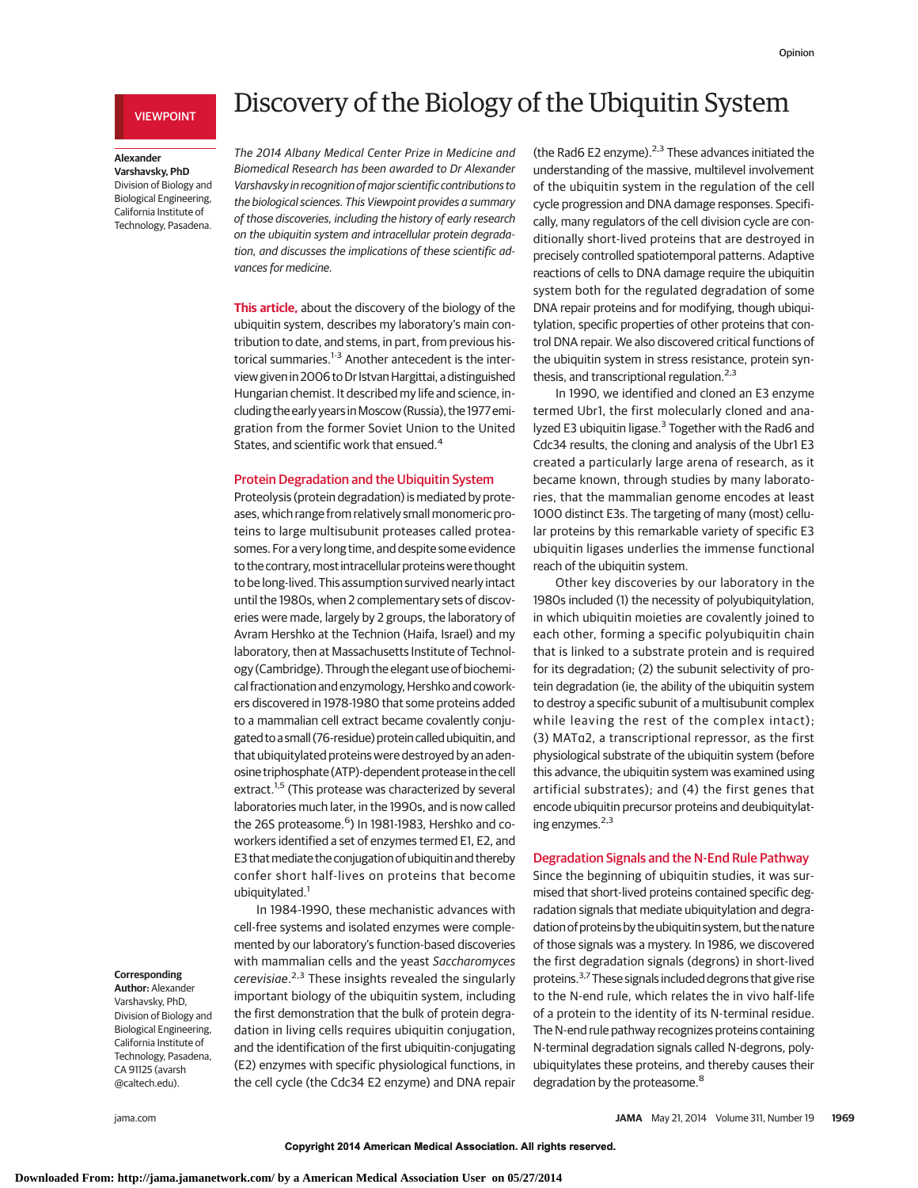# VIEWPOINT

#### **Alexander Varshavsky, PhD**

Division of Biology and Biological Engineering, California Institute of Technology, Pasadena.

# Discovery of the Biology of the Ubiquitin System

The 2014 Albany Medical Center Prize in Medicine and Biomedical Research has been awarded to Dr Alexander Varshavsky in recognition of major scientific contributions to the biological sciences. This Viewpoint provides a summary of those discoveries, including the history of early research on the ubiquitin system and intracellular protein degradation, and discusses the implications of these scientific advances for medicine.

**This article,** about the discovery of the biology of the ubiquitin system, describes my laboratory's main contribution to date, and stems, in part, from previous historical summaries. $1-3$  Another antecedent is the interview given in 2006 to Dr Istvan Hargittai, a distinguished Hungarian chemist. It described my life and science, including the early years inMoscow (Russia), the 1977 emigration from the former Soviet Union to the United States, and scientific work that ensued.<sup>4</sup>

# Protein Degradation and the Ubiquitin System

Proteolysis (protein degradation) is mediated by proteases, which range from relatively small monomeric proteins to large multisubunit proteases called proteasomes. For a very long time, and despite some evidence to the contrary, most intracellular proteins were thought to be long-lived. This assumption survived nearly intact until the 1980s, when 2 complementary sets of discoveries were made, largely by 2 groups, the laboratory of Avram Hershko at the Technion (Haifa, Israel) and my laboratory, then at Massachusetts Institute of Technology (Cambridge). Through the elegant use of biochemical fractionation and enzymology, Hershko and coworkers discovered in 1978-1980 that some proteins added to a mammalian cell extract became covalently conjugated toa small (76-residue) protein called ubiquitin,and that ubiquitylated proteins were destroyed by an adenosine triphosphate (ATP)-dependent protease in the cell extract.<sup>1,5</sup> (This protease was characterized by several laboratories much later, in the 1990s, and is now called the 26S proteasome.<sup>6</sup>) In 1981-1983, Hershko and coworkers identified a set of enzymes termed E1, E2, and E3 that mediate the conjugation of ubiquitin and thereby confer short half-lives on proteins that become ubiquitylated.<sup>1</sup>

In 1984-1990, these mechanistic advances with cell-free systems and isolated enzymes were complemented by our laboratory's function-based discoveries with mammalian cells and the yeast Saccharomyces cerevisiae.<sup>2,3</sup> These insights revealed the singularly important biology of the ubiquitin system, including the first demonstration that the bulk of protein degradation in living cells requires ubiquitin conjugation, and the identification of the first ubiquitin-conjugating (E2) enzymes with specific physiological functions, in the cell cycle (the Cdc34 E2 enzyme) and DNA repair

(the Rad6 E2 enzyme). $2.3$  These advances initiated the understanding of the massive, multilevel involvement of the ubiquitin system in the regulation of the cell cycle progression and DNA damage responses. Specifically, many regulators of the cell division cycle are conditionally short-lived proteins that are destroyed in precisely controlled spatiotemporal patterns. Adaptive reactions of cells to DNA damage require the ubiquitin system both for the regulated degradation of some DNA repair proteins and for modifying, though ubiquitylation, specific properties of other proteins that control DNA repair. We also discovered critical functions of the ubiquitin system in stress resistance, protein synthesis, and transcriptional regulation. $2,3$ 

In 1990, we identified and cloned an E3 enzyme termed Ubr1, the first molecularly cloned and analyzed E3 ubiquitin ligase.<sup>3</sup> Together with the Rad6 and Cdc34 results, the cloning and analysis of the Ubr1 E3 created a particularly large arena of research, as it became known, through studies by many laboratories, that the mammalian genome encodes at least 1000 distinct E3s. The targeting of many (most) cellular proteins by this remarkable variety of specific E3 ubiquitin ligases underlies the immense functional reach of the ubiquitin system.

Other key discoveries by our laboratory in the 1980s included (1) the necessity of polyubiquitylation, in which ubiquitin moieties are covalently joined to each other, forming a specific polyubiquitin chain that is linked to a substrate protein and is required for its degradation; (2) the subunit selectivity of protein degradation (ie, the ability of the ubiquitin system to destroy a specific subunit of a multisubunit complex while leaving the rest of the complex intact); (3) MATα2, a transcriptional repressor, as the first physiological substrate of the ubiquitin system (before this advance, the ubiquitin system was examined using artificial substrates); and (4) the first genes that encode ubiquitin precursor proteins and deubiquitylating enzymes. $2,3$ 

# Degradation Signals and the N-End Rule Pathway

Since the beginning of ubiquitin studies, it was surmised that short-lived proteins contained specific degradation signals that mediate ubiquitylation and degradation of proteins by the ubiquitin system, but the nature of those signals was a mystery. In 1986, we discovered the first degradation signals (degrons) in short-lived proteins.3,7These signals included degrons that give rise to the N-end rule, which relates the in vivo half-life of a protein to the identity of its N-terminal residue. The N-end rule pathway recognizes proteins containing N-terminal degradation signals called N-degrons, polyubiquitylates these proteins, and thereby causes their degradation by the proteasome.<sup>8</sup>

# **Corresponding**

**Author:** Alexander Varshavsky, PhD, Division of Biology and Biological Engineering, California Institute of Technology, Pasadena, CA 91125 (avarsh @caltech.edu).